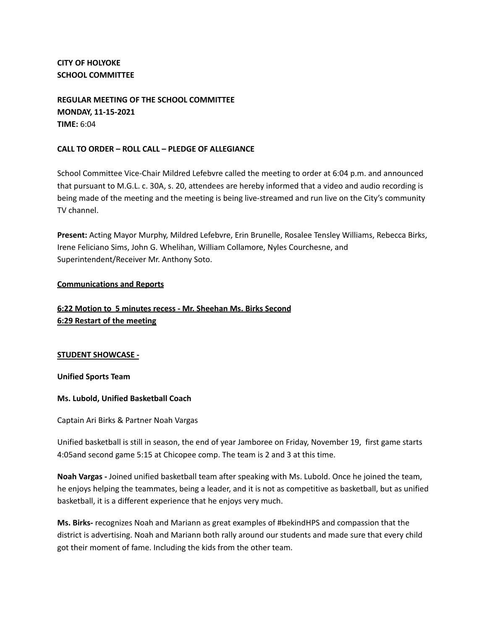**CITY OF HOLYOKE SCHOOL COMMITTEE**

**REGULAR MEETING OF THE SCHOOL COMMITTEE MONDAY, 11-15-2021 TIME:** 6:04

## **CALL TO ORDER – ROLL CALL – PLEDGE OF ALLEGIANCE**

School Committee Vice-Chair Mildred Lefebvre called the meeting to order at 6:04 p.m. and announced that pursuant to M.G.L. c. 30A, s. 20, attendees are hereby informed that a video and audio recording is being made of the meeting and the meeting is being live-streamed and run live on the City's community TV channel.

**Present:** Acting Mayor Murphy, Mildred Lefebvre, Erin Brunelle, Rosalee Tensley Williams, Rebecca Birks, Irene Feliciano Sims, John G. Whelihan, William Collamore, Nyles Courchesne, and Superintendent/Receiver Mr. Anthony Soto.

#### **Communications and Reports**

# **6:22 Motion to 5 minutes recess - Mr. Sheehan Ms. Birks Second 6:29 Restart of the meeting**

#### **STUDENT SHOWCASE -**

**Unified Sports Team**

#### **Ms. Lubold, Unified Basketball Coach**

Captain Ari Birks & Partner Noah Vargas

Unified basketball is still in season, the end of year Jamboree on Friday, November 19, first game starts 4:05and second game 5:15 at Chicopee comp. The team is 2 and 3 at this time.

**Noah Vargas -** Joined unified basketball team after speaking with Ms. Lubold. Once he joined the team, he enjoys helping the teammates, being a leader, and it is not as competitive as basketball, but as unified basketball, it is a different experience that he enjoys very much.

**Ms. Birks-** recognizes Noah and Mariann as great examples of #bekindHPS and compassion that the district is advertising. Noah and Mariann both rally around our students and made sure that every child got their moment of fame. Including the kids from the other team.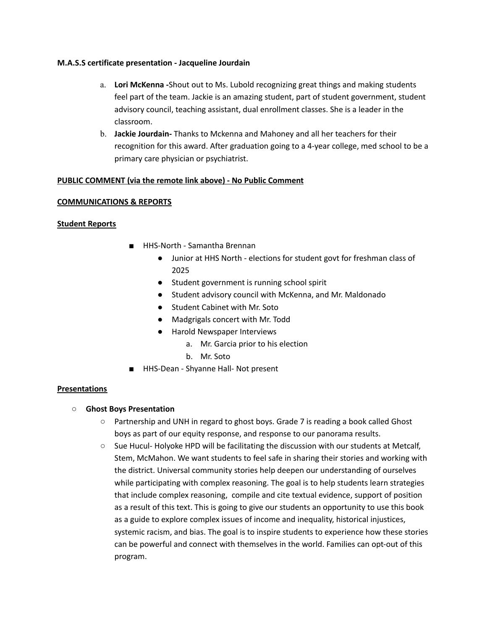#### **M.A.S.S certificate presentation - Jacqueline Jourdain**

- a. **Lori McKenna -**Shout out to Ms. Lubold recognizing great things and making students feel part of the team. Jackie is an amazing student, part of student government, student advisory council, teaching assistant, dual enrollment classes. She is a leader in the classroom.
- b. **Jackie Jourdain-** Thanks to Mckenna and Mahoney and all her teachers for their recognition for this award. After graduation going to a 4-year college, med school to be a primary care physician or psychiatrist.

## **PUBLIC COMMENT (via the remote link above) - No Public Comment**

#### **COMMUNICATIONS & REPORTS**

#### **Student Reports**

- HHS-North Samantha Brennan
	- Junior at HHS North elections for student govt for freshman class of 2025
	- Student government is running school spirit
	- Student advisory council with McKenna, and Mr. Maldonado
	- Student Cabinet with Mr. Soto
	- Madgrigals concert with Mr. Todd
	- Harold Newspaper Interviews
		- a. Mr. Garcia prior to his election
		- b. Mr. Soto
- HHS-Dean Shyanne Hall- Not present

## **Presentations**

- **○ Ghost Boys Presentation**
	- Partnership and UNH in regard to ghost boys. Grade 7 is reading a book called Ghost boys as part of our equity response, and response to our panorama results.
	- Sue Hucul- Holyoke HPD will be facilitating the discussion with our students at Metcalf, Stem, McMahon. We want students to feel safe in sharing their stories and working with the district. Universal community stories help deepen our understanding of ourselves while participating with complex reasoning. The goal is to help students learn strategies that include complex reasoning, compile and cite textual evidence, support of position as a result of this text. This is going to give our students an opportunity to use this book as a guide to explore complex issues of income and inequality, historical injustices, systemic racism, and bias. The goal is to inspire students to experience how these stories can be powerful and connect with themselves in the world. Families can opt-out of this program.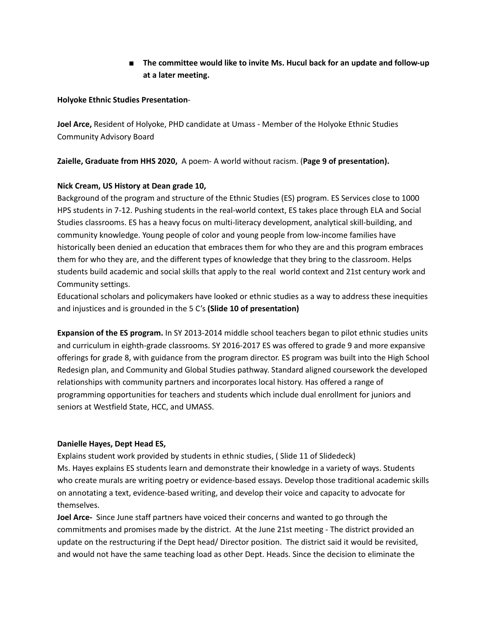**■ The committee would like to invite Ms. Hucul back for an update and follow-up at a later meeting.**

## **Holyoke Ethnic Studies Presentation**-

**Joel Arce,** Resident of Holyoke, PHD candidate at Umass - Member of the Holyoke Ethnic Studies Community Advisory Board

**Zaielle, Graduate from HHS 2020,** A poem- A world without racism. (**Page 9 of presentation).**

# **Nick Cream, US History at Dean grade 10,**

Background of the program and structure of the Ethnic Studies (ES) program. ES Services close to 1000 HPS students in 7-12. Pushing students in the real-world context, ES takes place through ELA and Social Studies classrooms. ES has a heavy focus on multi-literacy development, analytical skill-building, and community knowledge. Young people of color and young people from low-income families have historically been denied an education that embraces them for who they are and this program embraces them for who they are, and the different types of knowledge that they bring to the classroom. Helps students build academic and social skills that apply to the real world context and 21st century work and Community settings.

Educational scholars and policymakers have looked or ethnic studies as a way to address these inequities and injustices and is grounded in the 5 C's **(Slide 10 of presentation)**

**Expansion of the ES program.** In SY 2013-2014 middle school teachers began to pilot ethnic studies units and curriculum in eighth-grade classrooms. SY 2016-2017 ES was offered to grade 9 and more expansive offerings for grade 8, with guidance from the program director. ES program was built into the High School Redesign plan, and Community and Global Studies pathway. Standard aligned coursework the developed relationships with community partners and incorporates local history. Has offered a range of programming opportunities for teachers and students which include dual enrollment for juniors and seniors at Westfield State, HCC, and UMASS.

# **Danielle Hayes, Dept Head ES,**

Explains student work provided by students in ethnic studies, ( Slide 11 of Slidedeck) Ms. Hayes explains ES students learn and demonstrate their knowledge in a variety of ways. Students who create murals are writing poetry or evidence-based essays. Develop those traditional academic skills on annotating a text, evidence-based writing, and develop their voice and capacity to advocate for themselves.

**Joel Arce-** Since June staff partners have voiced their concerns and wanted to go through the commitments and promises made by the district. At the June 21st meeting - The district provided an update on the restructuring if the Dept head/ Director position. The district said it would be revisited, and would not have the same teaching load as other Dept. Heads. Since the decision to eliminate the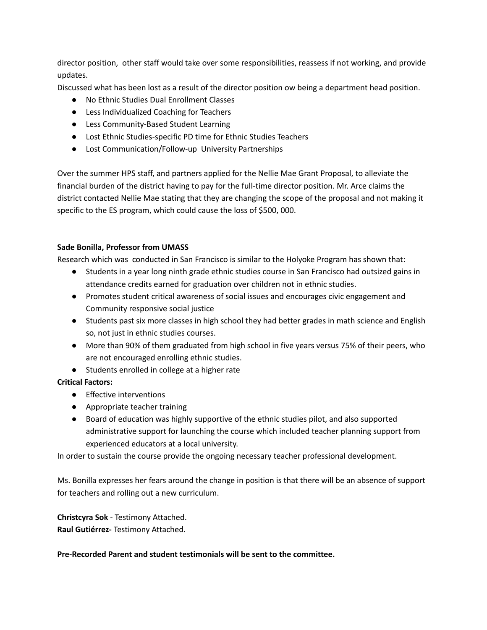director position, other staff would take over some responsibilities, reassess if not working, and provide updates.

Discussed what has been lost as a result of the director position ow being a department head position.

- No Ethnic Studies Dual Enrollment Classes
- Less Individualized Coaching for Teachers
- Less Community-Based Student Learning
- Lost Ethnic Studies-specific PD time for Ethnic Studies Teachers
- Lost Communication/Follow-up University Partnerships

Over the summer HPS staff, and partners applied for the Nellie Mae Grant Proposal, to alleviate the financial burden of the district having to pay for the full-time director position. Mr. Arce claims the district contacted Nellie Mae stating that they are changing the scope of the proposal and not making it specific to the ES program, which could cause the loss of \$500, 000.

## **Sade Bonilla, Professor from UMASS**

Research which was conducted in San Francisco is similar to the Holyoke Program has shown that:

- Students in a year long ninth grade ethnic studies course in San Francisco had outsized gains in attendance credits earned for graduation over children not in ethnic studies.
- Promotes student critical awareness of social issues and encourages civic engagement and Community responsive social justice
- Students past six more classes in high school they had better grades in math science and English so, not just in ethnic studies courses.
- More than 90% of them graduated from high school in five years versus 75% of their peers, who are not encouraged enrolling ethnic studies.
- Students enrolled in college at a higher rate

# **Critical Factors:**

- Effective interventions
- Appropriate teacher training
- Board of education was highly supportive of the ethnic studies pilot, and also supported administrative support for launching the course which included teacher planning support from experienced educators at a local university.

In order to sustain the course provide the ongoing necessary teacher professional development.

Ms. Bonilla expresses her fears around the change in position is that there will be an absence of support for teachers and rolling out a new curriculum.

# **Christcyra Sok** - Testimony Attached.

**Raul Gutiérrez-** Testimony Attached.

## **Pre-Recorded Parent and student testimonials will be sent to the committee.**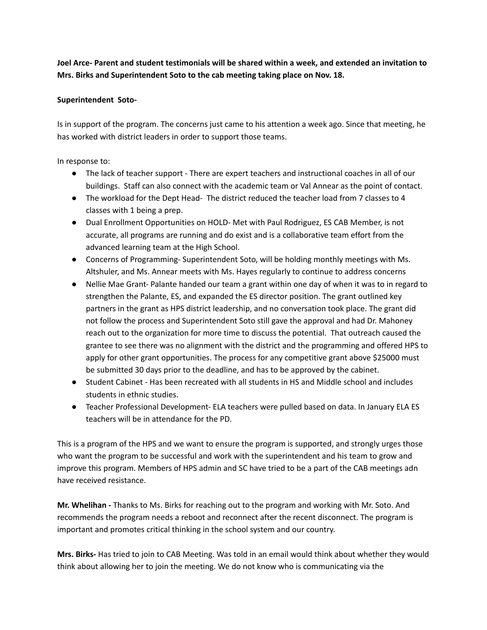**Joel Arce- Parent and student testimonials will be shared within a week, and extended an invitation to Mrs. Birks and Superintendent Soto to the cab meeting taking place on Nov. 18.**

## **Superintendent Soto-**

Is in support of the program. The concerns just came to his attention a week ago. Since that meeting, he has worked with district leaders in order to support those teams.

In response to:

- The lack of teacher support There are expert teachers and instructional coaches in all of our buildings. Staff can also connect with the academic team or Val Annear as the point of contact.
- The workload for the Dept Head- The district reduced the teacher load from 7 classes to 4 classes with 1 being a prep.
- Dual Enrollment Opportunities on HOLD- Met with Paul Rodriguez, ES CAB Member, is not accurate, all programs are running and do exist and is a collaborative team effort from the advanced learning team at the High School.
- Concerns of Programming- Superintendent Soto, will be holding monthly meetings with Ms. Altshuler, and Ms. Annear meets with Ms. Hayes regularly to continue to address concerns
- Nellie Mae Grant- Palante handed our team a grant within one day of when it was to in regard to strengthen the Palante, ES, and expanded the ES director position. The grant outlined key partners in the grant as HPS district leadership, and no conversation took place. The grant did not follow the process and Superintendent Soto still gave the approval and had Dr. Mahoney reach out to the organization for more time to discuss the potential. That outreach caused the grantee to see there was no alignment with the district and the programming and offered HPS to apply for other grant opportunities. The process for any competitive grant above \$25000 must be submitted 30 days prior to the deadline, and has to be approved by the cabinet.
- Student Cabinet Has been recreated with all students in HS and Middle school and includes students in ethnic studies.
- Teacher Professional Development- ELA teachers were pulled based on data. In January ELA ES teachers will be in attendance for the PD.

This is a program of the HPS and we want to ensure the program is supported, and strongly urges those who want the program to be successful and work with the superintendent and his team to grow and improve this program. Members of HPS admin and SC have tried to be a part of the CAB meetings adn have received resistance.

**Mr. Whelihan -** Thanks to Ms. Birks for reaching out to the program and working with Mr. Soto. And recommends the program needs a reboot and reconnect after the recent disconnect. The program is important and promotes critical thinking in the school system and our country.

**Mrs. Birks-** Has tried to join to CAB Meeting. Was told in an email would think about whether they would think about allowing her to join the meeting. We do not know who is communicating via the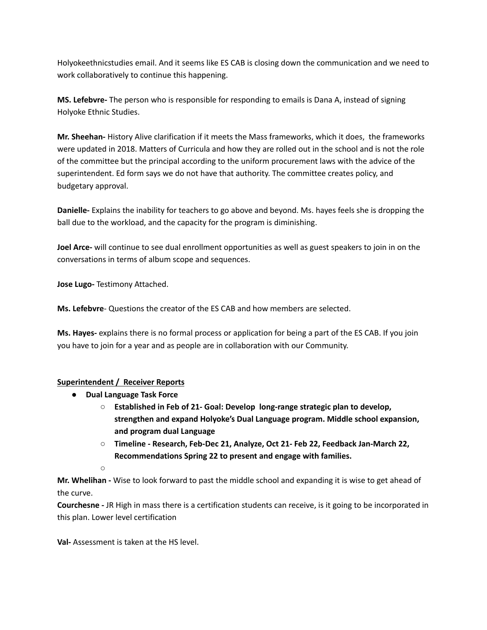Holyokeethnicstudies email. And it seems like ES CAB is closing down the communication and we need to work collaboratively to continue this happening.

**MS. Lefebvre-** The person who is responsible for responding to emails is Dana A, instead of signing Holyoke Ethnic Studies.

**Mr. Sheehan-** History Alive clarification if it meets the Mass frameworks, which it does, the frameworks were updated in 2018. Matters of Curricula and how they are rolled out in the school and is not the role of the committee but the principal according to the uniform procurement laws with the advice of the superintendent. Ed form says we do not have that authority. The committee creates policy, and budgetary approval.

**Danielle-** Explains the inability for teachers to go above and beyond. Ms. hayes feels she is dropping the ball due to the workload, and the capacity for the program is diminishing.

**Joel Arce-** will continue to see dual enrollment opportunities as well as guest speakers to join in on the conversations in terms of album scope and sequences.

**Jose Lugo-** Testimony Attached.

**Ms. Lefebvre**- Questions the creator of the ES CAB and how members are selected.

**Ms. Hayes-** explains there is no formal process or application for being a part of the ES CAB. If you join you have to join for a year and as people are in collaboration with our Community.

# **Superintendent / Receiver Reports**

- **● Dual Language Task Force**
	- **○ Established in Feb of 21- Goal: Develop long-range strategic plan to develop, strengthen and expand Holyoke's Dual Language program. Middle school expansion, and program dual Language**
	- **○ Timeline - Research, Feb-Dec 21, Analyze, Oct 21- Feb 22, Feedback Jan-March 22, Recommendations Spring 22 to present and engage with families.**

**○**

**Mr. Whelihan -** Wise to look forward to past the middle school and expanding it is wise to get ahead of the curve.

**Courchesne -** JR High in mass there is a certification students can receive, is it going to be incorporated in this plan. Lower level certification

**Val-** Assessment is taken at the HS level.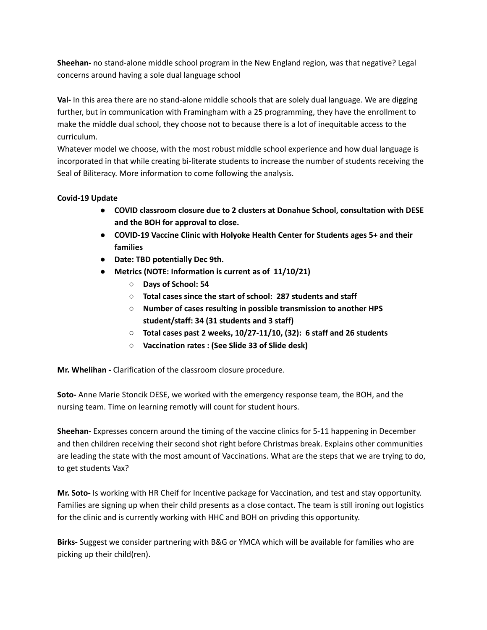**Sheehan-** no stand-alone middle school program in the New England region, was that negative? Legal concerns around having a sole dual language school

**Val-** In this area there are no stand-alone middle schools that are solely dual language. We are digging further, but in communication with Framingham with a 25 programming, they have the enrollment to make the middle dual school, they choose not to because there is a lot of inequitable access to the curriculum.

Whatever model we choose, with the most robust middle school experience and how dual language is incorporated in that while creating bi-literate students to increase the number of students receiving the Seal of Biliteracy. More information to come following the analysis.

# **Covid-19 Update**

- **● COVID classroom closure due to 2 clusters at Donahue School, consultation with DESE and the BOH for approval to close.**
- **● COVID-19 Vaccine Clinic with Holyoke Health Center for Students ages 5+ and their families**
- **● Date: TBD potentially Dec 9th.**
- **● Metrics (NOTE: Information is current as of 11/10/21)**
	- **○ Days of School: 54**
	- **○ Total cases since the start of school: 287 students and staff**
	- **○ Number of cases resulting in possible transmission to another HPS student/staff: 34 (31 students and 3 staff)**
	- **○ Total cases past 2 weeks, 10/27-11/10, (32): 6 staff and 26 students**
	- **○ Vaccination rates : (See Slide 33 of Slide desk)**

**Mr. Whelihan -** Clarification of the classroom closure procedure.

**Soto-** Anne Marie Stoncik DESE, we worked with the emergency response team, the BOH, and the nursing team. Time on learning remotly will count for student hours.

**Sheehan-** Expresses concern around the timing of the vaccine clinics for 5-11 happening in December and then children receiving their second shot right before Christmas break. Explains other communities are leading the state with the most amount of Vaccinations. What are the steps that we are trying to do, to get students Vax?

**Mr. Soto-** Is working with HR Cheif for Incentive package for Vaccination, and test and stay opportunity. Families are signing up when their child presents as a close contact. The team is still ironing out logistics for the clinic and is currently working with HHC and BOH on privding this opportunity.

**Birks-** Suggest we consider partnering with B&G or YMCA which will be available for families who are picking up their child(ren).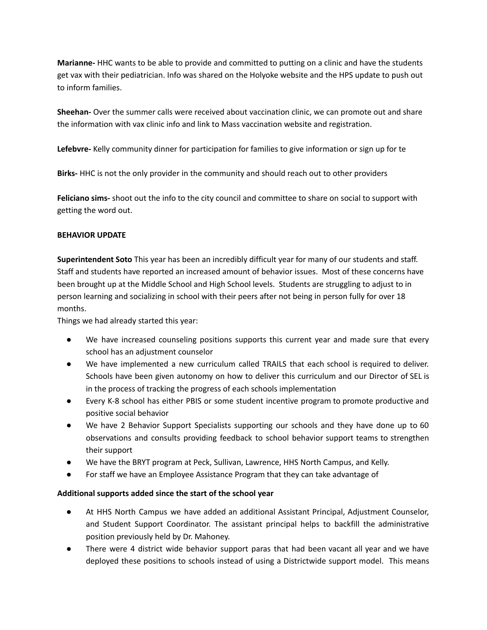**Marianne-** HHC wants to be able to provide and committed to putting on a clinic and have the students get vax with their pediatrician. Info was shared on the Holyoke website and the HPS update to push out to inform families.

**Sheehan-** Over the summer calls were received about vaccination clinic, we can promote out and share the information with vax clinic info and link to Mass vaccination website and registration.

**Lefebvre-** Kelly community dinner for participation for families to give information or sign up for te

**Birks-** HHC is not the only provider in the community and should reach out to other providers

**Feliciano sims-** shoot out the info to the city council and committee to share on social to support with getting the word out.

## **BEHAVIOR UPDATE**

**Superintendent Soto** This year has been an incredibly difficult year for many of our students and staff. Staff and students have reported an increased amount of behavior issues. Most of these concerns have been brought up at the Middle School and High School levels. Students are struggling to adjust to in person learning and socializing in school with their peers after not being in person fully for over 18 months.

Things we had already started this year:

- We have increased counseling positions supports this current year and made sure that every school has an adjustment counselor
- We have implemented a new curriculum called TRAILS that each school is required to deliver. Schools have been given autonomy on how to deliver this curriculum and our Director of SEL is in the process of tracking the progress of each schools implementation
- Every K-8 school has either PBIS or some student incentive program to promote productive and positive social behavior
- We have 2 Behavior Support Specialists supporting our schools and they have done up to 60 observations and consults providing feedback to school behavior support teams to strengthen their support
- We have the BRYT program at Peck, Sullivan, Lawrence, HHS North Campus, and Kelly.
- For staff we have an Employee Assistance Program that they can take advantage of

## **Additional supports added since the start of the school year**

- At HHS North Campus we have added an additional Assistant Principal, Adjustment Counselor, and Student Support Coordinator. The assistant principal helps to backfill the administrative position previously held by Dr. Mahoney.
- There were 4 district wide behavior support paras that had been vacant all year and we have deployed these positions to schools instead of using a Districtwide support model. This means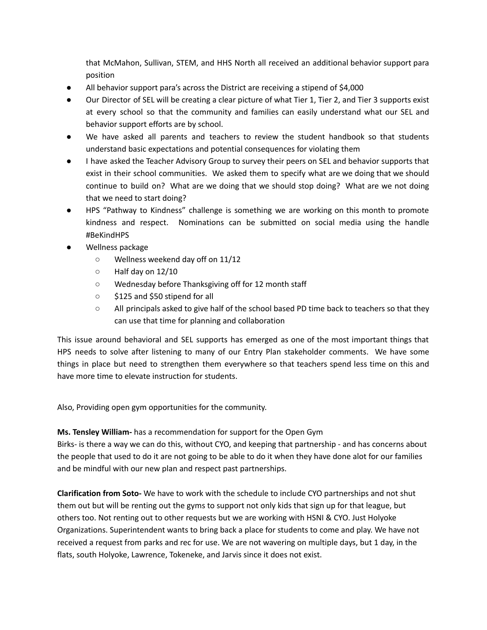that McMahon, Sullivan, STEM, and HHS North all received an additional behavior support para position

- All behavior support para's across the District are receiving a stipend of \$4,000
- Our Director of SEL will be creating a clear picture of what Tier 1, Tier 2, and Tier 3 supports exist at every school so that the community and families can easily understand what our SEL and behavior support efforts are by school.
- We have asked all parents and teachers to review the student handbook so that students understand basic expectations and potential consequences for violating them
- I have asked the Teacher Advisory Group to survey their peers on SEL and behavior supports that exist in their school communities. We asked them to specify what are we doing that we should continue to build on? What are we doing that we should stop doing? What are we not doing that we need to start doing?
- HPS "Pathway to Kindness" challenge is something we are working on this month to promote kindness and respect. Nominations can be submitted on social media using the handle #BeKindHPS
- Wellness package
	- Wellness weekend day off on 11/12
	- Half day on 12/10
	- Wednesday before Thanksgiving off for 12 month staff
	- \$125 and \$50 stipend for all
	- All principals asked to give half of the school based PD time back to teachers so that they can use that time for planning and collaboration

This issue around behavioral and SEL supports has emerged as one of the most important things that HPS needs to solve after listening to many of our Entry Plan stakeholder comments. We have some things in place but need to strengthen them everywhere so that teachers spend less time on this and have more time to elevate instruction for students.

Also, Providing open gym opportunities for the community.

**Ms. Tensley William-** has a recommendation for support for the Open Gym

Birks- is there a way we can do this, without CYO, and keeping that partnership - and has concerns about the people that used to do it are not going to be able to do it when they have done alot for our families and be mindful with our new plan and respect past partnerships.

**Clarification from Soto-** We have to work with the schedule to include CYO partnerships and not shut them out but will be renting out the gyms to support not only kids that sign up for that league, but others too. Not renting out to other requests but we are working with HSNI & CYO. Just Holyoke Organizations. Superintendent wants to bring back a place for students to come and play. We have not received a request from parks and rec for use. We are not wavering on multiple days, but 1 day, in the flats, south Holyoke, Lawrence, Tokeneke, and Jarvis since it does not exist.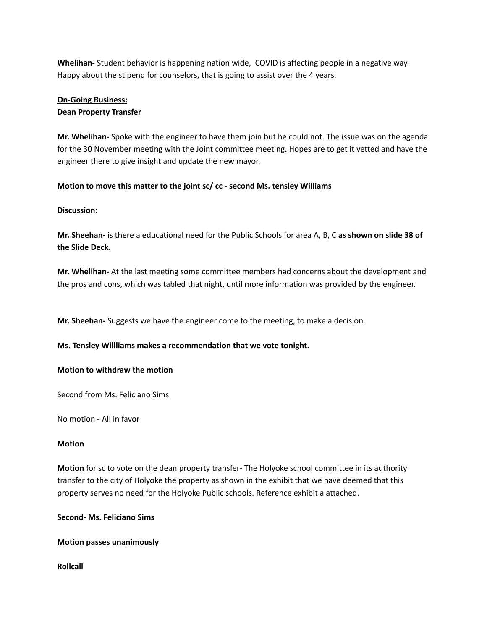**Whelihan-** Student behavior is happening nation wide, COVID is affecting people in a negative way. Happy about the stipend for counselors, that is going to assist over the 4 years.

# **On-Going Business:**

# **Dean Property Transfer**

**Mr. Whelihan-** Spoke with the engineer to have them join but he could not. The issue was on the agenda for the 30 November meeting with the Joint committee meeting. Hopes are to get it vetted and have the engineer there to give insight and update the new mayor.

## **Motion to move this matter to the joint sc/ cc - second Ms. tensley Williams**

# **Discussion:**

**Mr. Sheehan-** is there a educational need for the Public Schools for area A, B, C **as shown on slide 38 of the Slide Deck**.

**Mr. Whelihan-** At the last meeting some committee members had concerns about the development and the pros and cons, which was tabled that night, until more information was provided by the engineer.

**Mr. Sheehan-** Suggests we have the engineer come to the meeting, to make a decision.

## **Ms. Tensley Willliams makes a recommendation that we vote tonight.**

## **Motion to withdraw the motion**

Second from Ms. Feliciano Sims

No motion - All in favor

## **Motion**

**Motion** for sc to vote on the dean property transfer- The Holyoke school committee in its authority transfer to the city of Holyoke the property as shown in the exhibit that we have deemed that this property serves no need for the Holyoke Public schools. Reference exhibit a attached.

**Second- Ms. Feliciano Sims**

## **Motion passes unanimously**

**Rollcall**